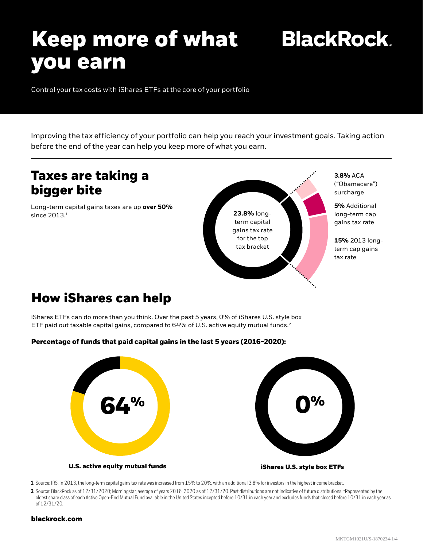# **Keep more of what you earn**

**BlackRock.** 

Control your tax costs with iShares ETFs at the core of your portfolio

Improving the tax efficiency of your portfolio can help you reach your investment goals. Taking action before the end of the year can help you keep more of what you earn.

### **Taxes are taking a bigger bite**

Long-term capital gains taxes are up **over 50%** since 2013.<sup>1</sup>



("Obamacare") surcharge

**5%** Additional long-term cap gains tax rate

**15%** 2013 longterm cap gains

### **How iShares can help**

iShares ETFs can do more than you think. Over the past 5 years, 0% of iShares U.S. style box ETF paid out taxable capital gains, compared to 64% of U.S. active equity mutual funds.<sup>2</sup>





**U.S. active equity mutual funds iShares U.S. style box ETFs**

**1** Source: IRS. In 2013, the long-term capital gains tax rate was increased from 15% to 20%, with an additional 3.8% for investors in the highest income bracket.

2 Source: BlackRock as of 12/31/2020; Morningstar, average of years 2016-2020 as of 12/31/20. Past distributions are not indicative of future distributions. \*Represented by the oldest share class of each Active Open-End Mutual Fund available in the United States incepted before 10/31 in each year and excludes funds that closed before 10/31 in each year as of 12/31/20.

### **[blackrock.com](https://www.blackrock.com/cash/en-zz/home-page-t1)**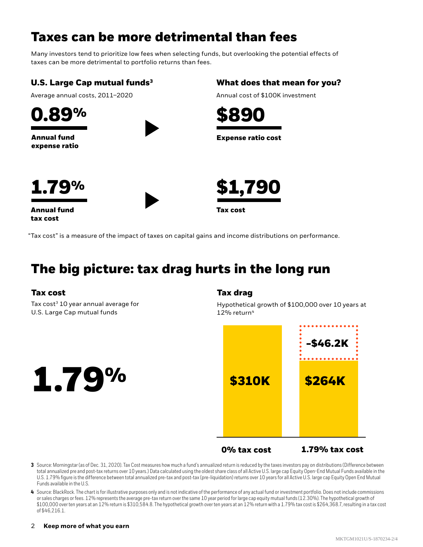## **Taxes can be more detrimental than fees**

Many investors tend to prioritize low fees when selecting funds, but overlooking the potential effects of taxes can be more detrimental to portfolio returns than fees.

### **U.S. Large Cap mutual funds3**

Average annual costs, 2011–2020



**Annual fund expense ratio**



### **What does that mean for you?**

Annual cost of \$100K investment







**Annual fund tax cost**



"Tax cost" is a measure of the impact of taxes on capital gains and income distributions on performance.

# **The big picture: tax drag hurts in the long run**

### **Tax cost Tax drag**

Tax cost<sup>3</sup> 10 year annual average for U.S. Large Cap mutual funds

Hypothetical growth of \$100,000 over 10 years at  $12\%$  return<sup>4</sup>



**0% tax cost 1.79% tax cost**

**3**  Source: Morningstar (as of Dec. 31, 2020). Tax Cost measures how much a fund's annualized return is reduced by the taxes investors pay on distributions (Difference between total annualized pre and post-tax returns over 10 years.) Data calculated using the oldest share class of all Active U.S. large cap Equity Open-End Mutual Funds available in the U.S. 1.79% figure is the difference between total annualized pre-tax and post-tax (pre-liquidation) returns over 10 years for all Active U.S. large cap Equity Open End Mutual Funds available in the U.S.

**4**  Source: BlackRock. The chart is for illustrative purposes only and is not indicative of the performance of any actual fund or investment portfolio. Does not include commissions or sales charges or fees. 12% represents the average pre-tax return over the same 10 year period for large cap equity mutual funds (12.30%). The hypothetical growth of \$100,000 over ten years at an 12% return is \$310,584.8. The hypothetical growth over ten years at an 12% return with a 1.79% tax cost is \$264,368.7, resulting in a tax cost of \$46,216.1.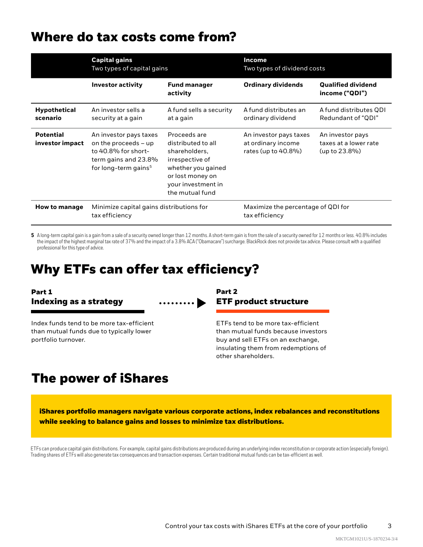### **Where do tax costs come from?**

|                                     | <b>Capital gains</b><br>Two types of capital gains                                                                                  |                                                                                                                                                           | Income<br>Two types of dividend costs                               |                                                            |
|-------------------------------------|-------------------------------------------------------------------------------------------------------------------------------------|-----------------------------------------------------------------------------------------------------------------------------------------------------------|---------------------------------------------------------------------|------------------------------------------------------------|
|                                     | <b>Investor activity</b>                                                                                                            | <b>Fund manager</b><br>activity                                                                                                                           | <b>Ordinary dividends</b>                                           | <b>Qualified dividend</b><br>income ("QDI")                |
| <b>Hypothetical</b><br>scenario     | An investor sells a<br>security at a gain                                                                                           | A fund sells a security<br>at a gain                                                                                                                      | A fund distributes an<br>ordinary dividend                          | A fund distributes QDI<br>Redundant of "QDI"               |
| <b>Potential</b><br>investor impact | An investor pays taxes<br>on the proceeds $-$ up<br>to 40.8% for short-<br>term gains and 23.8%<br>for long-term gains <sup>5</sup> | Proceeds are<br>distributed to all<br>shareholders,<br>irrespective of<br>whether you gained<br>or lost money on<br>your investment in<br>the mutual fund | An investor pays taxes<br>at ordinary income<br>rates (up to 40.8%) | An investor pays<br>taxes at a lower rate<br>(up to 23.8%) |
| <b>How to manage</b>                | Minimize capital gains distributions for<br>tax efficiency                                                                          |                                                                                                                                                           | Maximize the percentage of QDI for<br>tax efficiency                |                                                            |

5 A long-term capital gain is a gain from a sale of a security owned longer than 12 months. A short-term gain is from the sale of a security owned for 12 months or less. 40.8% includes the impact of the highest marginal tax rate of 37% and the impact of a 3.8% ACA ("Obamacare") surcharge. BlackRock does not provide tax advice. Please consult with a qualified professional for this type of advice.

### **Why ETFs can offer tax efficiency?**

# **Part 1 Part 2**

portfolio turnover.



Index funds tend to be more tax-efficient than mutual funds due to typically lower

# **Indexing as a strategy ETF product structure**

ETFs tend to be more tax-efficient than mutual funds because investors buy and sell ETFs on an exchange, insulating them from redemptions of other shareholders.

## **The power of iShares**

**iShares portfolio managers navigate various corporate actions, index rebalances and reconstitutions while seeking to balance gains and losses to minimize tax distributions.**

ETFs can produce capital gain distributions. For example, capital gains distributions are produced during an underlying index reconstitution or corporate action (especially foreign). Trading shares of ETFs will also generate tax consequences and transaction expenses. Certain traditional mutual funds can be tax-efficient as well.